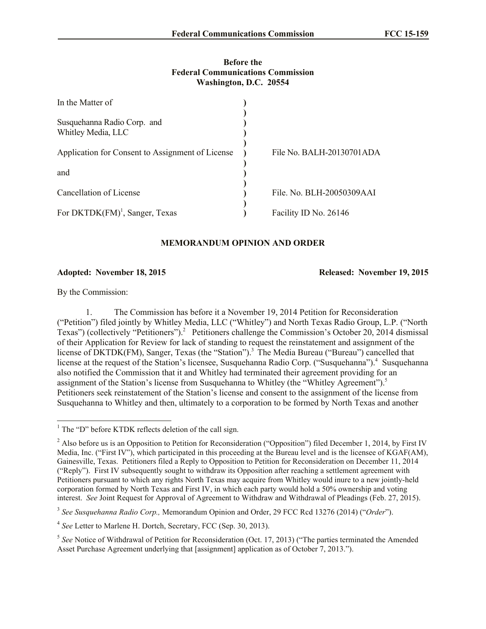## **Before the Federal Communications Commission Washington, D.C. 20554**

| In the Matter of                                 |                           |
|--------------------------------------------------|---------------------------|
| Susquehanna Radio Corp. and                      |                           |
| Whitley Media, LLC                               |                           |
| Application for Consent to Assignment of License | File No. BALH-20130701ADA |
| and                                              |                           |
| Cancellation of License                          | File. No. BLH-20050309AAI |
| For $DKTDK(FM)^1$ , Sanger, Texas                | Facility ID No. 26146     |

## **MEMORANDUM OPINION AND ORDER**

**Adopted: November 18, 2015 Released: November 19, 2015**

By the Commission:

l

1. The Commission has before it a November 19, 2014 Petition for Reconsideration ("Petition") filed jointly by Whitley Media, LLC ("Whitley") and North Texas Radio Group, L.P. ("North Texas") (collectively "Petitioners").<sup>2</sup> Petitioners challenge the Commission's October 20, 2014 dismissal of their Application for Review for lack of standing to request the reinstatement and assignment of the license of DKTDK(FM), Sanger, Texas (the "Station").<sup>3</sup> The Media Bureau ("Bureau") cancelled that license at the request of the Station's licensee, Susquehanna Radio Corp. ("Susquehanna").<sup>4</sup> Susquehanna also notified the Commission that it and Whitley had terminated their agreement providing for an assignment of the Station's license from Susquehanna to Whitley (the "Whitley Agreement").<sup>5</sup> Petitioners seek reinstatement of the Station's license and consent to the assignment of the license from Susquehanna to Whitley and then, ultimately to a corporation to be formed by North Texas and another

 $1$  The "D" before KTDK reflects deletion of the call sign.

 $2$  Also before us is an Opposition to Petition for Reconsideration ("Opposition") filed December 1, 2014, by First IV Media, Inc. ("First IV"), which participated in this proceeding at the Bureau level and is the licensee of KGAF(AM), Gainesville, Texas. Petitioners filed a Reply to Opposition to Petition for Reconsideration on December 11, 2014 ("Reply"). First IV subsequently sought to withdraw its Opposition after reaching a settlement agreement with Petitioners pursuant to which any rights North Texas may acquire from Whitley would inure to a new jointly-held corporation formed by North Texas and First IV, in which each party would hold a 50% ownership and voting interest. *See* Joint Request for Approval of Agreement to Withdraw and Withdrawal of Pleadings (Feb. 27, 2015).

<sup>3</sup> *See Susquehanna Radio Corp.,* Memorandum Opinion and Order, 29 FCC Rcd 13276 (2014) ("*Order*").

<sup>4</sup> *See* Letter to Marlene H. Dortch, Secretary, FCC (Sep. 30, 2013).

<sup>&</sup>lt;sup>5</sup> See Notice of Withdrawal of Petition for Reconsideration (Oct. 17, 2013) ("The parties terminated the Amended Asset Purchase Agreement underlying that [assignment] application as of October 7, 2013.").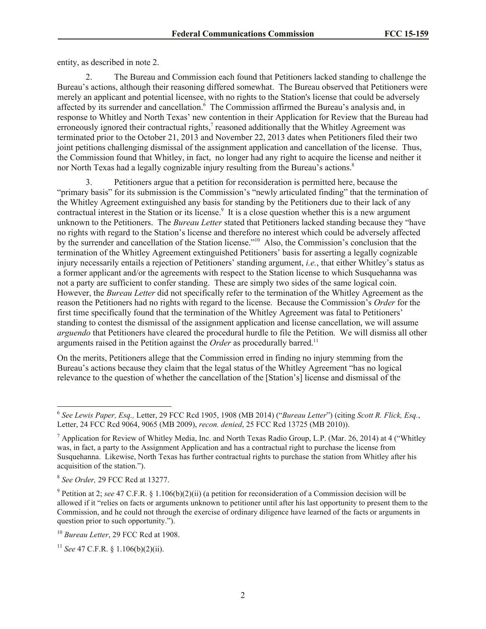entity, as described in note 2.

2. The Bureau and Commission each found that Petitioners lacked standing to challenge the Bureau's actions, although their reasoning differed somewhat. The Bureau observed that Petitioners were merely an applicant and potential licensee, with no rights to the Station's license that could be adversely affected by its surrender and cancellation.<sup>6</sup> The Commission affirmed the Bureau's analysis and, in response to Whitley and North Texas' new contention in their Application for Review that the Bureau had erroneously ignored their contractual rights,<sup>7</sup> reasoned additionally that the Whitley Agreement was terminated prior to the October 21, 2013 and November 22, 2013 dates when Petitioners filed their two joint petitions challenging dismissal of the assignment application and cancellation of the license. Thus, the Commission found that Whitley, in fact, no longer had any right to acquire the license and neither it nor North Texas had a legally cognizable injury resulting from the Bureau's actions.<sup>8</sup>

3. Petitioners argue that a petition for reconsideration is permitted here, because the "primary basis" for its submission is the Commission's "newly articulated finding" that the termination of the Whitley Agreement extinguished any basis for standing by the Petitioners due to their lack of any contractual interest in the Station or its license.<sup>9</sup> It is a close question whether this is a new argument unknown to the Petitioners. The *Bureau Letter* stated that Petitioners lacked standing because they "have no rights with regard to the Station's license and therefore no interest which could be adversely affected by the surrender and cancellation of the Station license."<sup>10</sup> Also, the Commission's conclusion that the termination of the Whitley Agreement extinguished Petitioners' basis for asserting a legally cognizable injury necessarily entails a rejection of Petitioners' standing argument, *i.e.*, that either Whitley's status as a former applicant and/or the agreements with respect to the Station license to which Susquehanna was not a party are sufficient to confer standing. These are simply two sides of the same logical coin. However, the *Bureau Letter* did not specifically refer to the termination of the Whitley Agreement as the reason the Petitioners had no rights with regard to the license. Because the Commission's *Order* for the first time specifically found that the termination of the Whitley Agreement was fatal to Petitioners' standing to contest the dismissal of the assignment application and license cancellation, we will assume *arguendo* that Petitioners have cleared the procedural hurdle to file the Petition. We will dismiss all other arguments raised in the Petition against the *Order* as procedurally barred.<sup>11</sup>

On the merits, Petitioners allege that the Commission erred in finding no injury stemming from the Bureau's actions because they claim that the legal status of the Whitley Agreement "has no logical relevance to the question of whether the cancellation of the [Station's] license and dismissal of the

l

<sup>6</sup> *See Lewis Paper, Esq.,* Letter, 29 FCC Rcd 1905, 1908 (MB 2014) ("*Bureau Letter*") (citing *Scott R. Flick, Esq.*, Letter, 24 FCC Rcd 9064, 9065 (MB 2009), *recon. denied*, 25 FCC Rcd 13725 (MB 2010)).

<sup>7</sup> Application for Review of Whitley Media, Inc. and North Texas Radio Group, L.P. (Mar. 26, 2014) at 4 ("Whitley was, in fact, a party to the Assignment Application and has a contractual right to purchase the license from Susquehanna. Likewise, North Texas has further contractual rights to purchase the station from Whitley after his acquisition of the station.").

<sup>8</sup> *See Order,* 29 FCC Rcd at 13277.

<sup>&</sup>lt;sup>9</sup> Petition at 2; *see* 47 C.F.R. § 1.106(b)(2)(ii) (a petition for reconsideration of a Commission decision will be allowed if it "relies on facts or arguments unknown to petitioner until after his last opportunity to present them to the Commission, and he could not through the exercise of ordinary diligence have learned of the facts or arguments in question prior to such opportunity.").

<sup>10</sup> *Bureau Letter*, 29 FCC Rcd at 1908.

<sup>11</sup> *See* 47 C.F.R. § 1.106(b)(2)(ii).